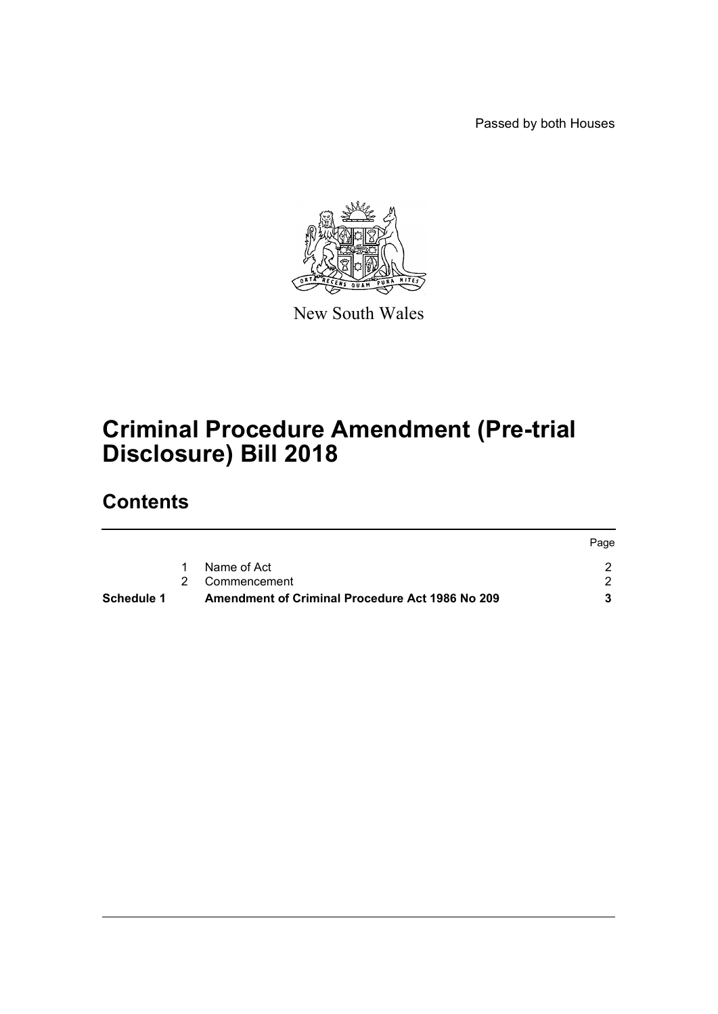Passed by both Houses

Page



New South Wales

# **Criminal Procedure Amendment (Pre-trial Disclosure) Bill 2018**

## **Contents**

| Schedule 1 | Amendment of Criminal Procedure Act 1986 No 209 |      |
|------------|-------------------------------------------------|------|
|            | 2 Commencement                                  |      |
|            | 1 Name of Act                                   |      |
|            |                                                 | Page |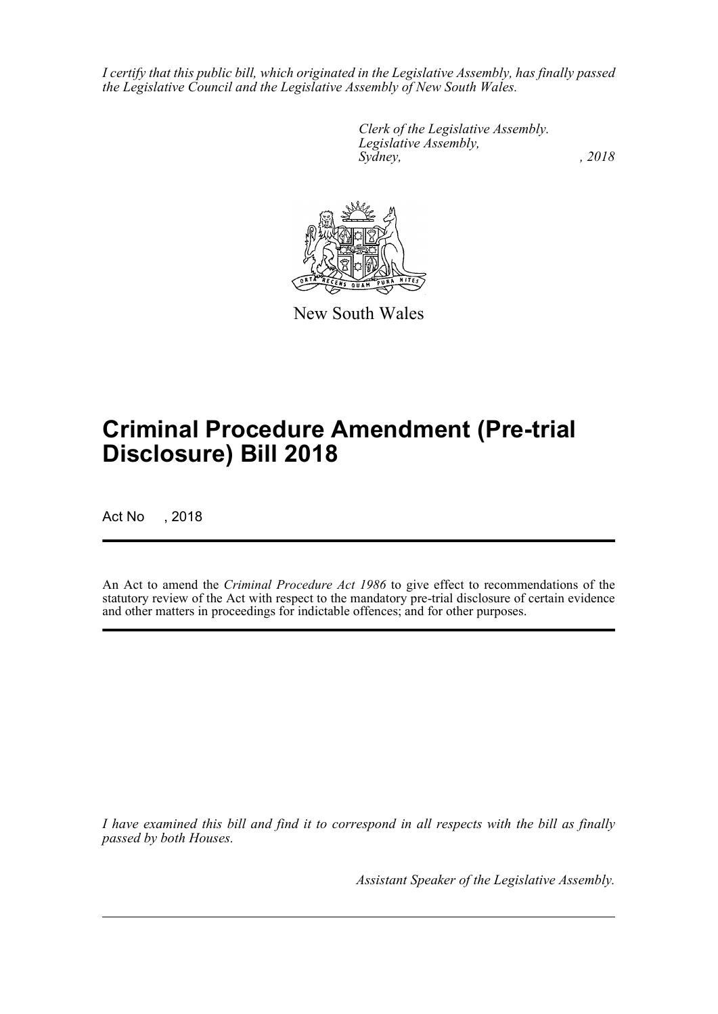*I certify that this public bill, which originated in the Legislative Assembly, has finally passed the Legislative Council and the Legislative Assembly of New South Wales.*

> *Clerk of the Legislative Assembly. Legislative Assembly, Sydney, , 2018*



New South Wales

# **Criminal Procedure Amendment (Pre-trial Disclosure) Bill 2018**

Act No , 2018

An Act to amend the *Criminal Procedure Act 1986* to give effect to recommendations of the statutory review of the Act with respect to the mandatory pre-trial disclosure of certain evidence and other matters in proceedings for indictable offences; and for other purposes.

*I have examined this bill and find it to correspond in all respects with the bill as finally passed by both Houses.*

*Assistant Speaker of the Legislative Assembly.*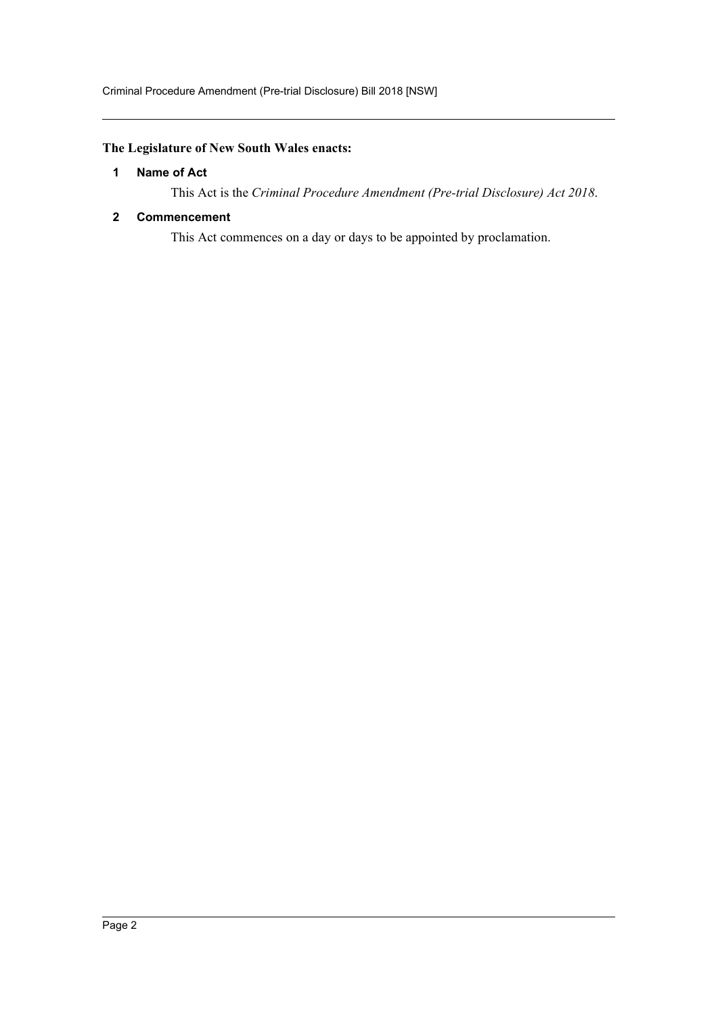### <span id="page-2-0"></span>**The Legislature of New South Wales enacts:**

#### **1 Name of Act**

This Act is the *Criminal Procedure Amendment (Pre-trial Disclosure) Act 2018*.

#### <span id="page-2-1"></span>**2 Commencement**

This Act commences on a day or days to be appointed by proclamation.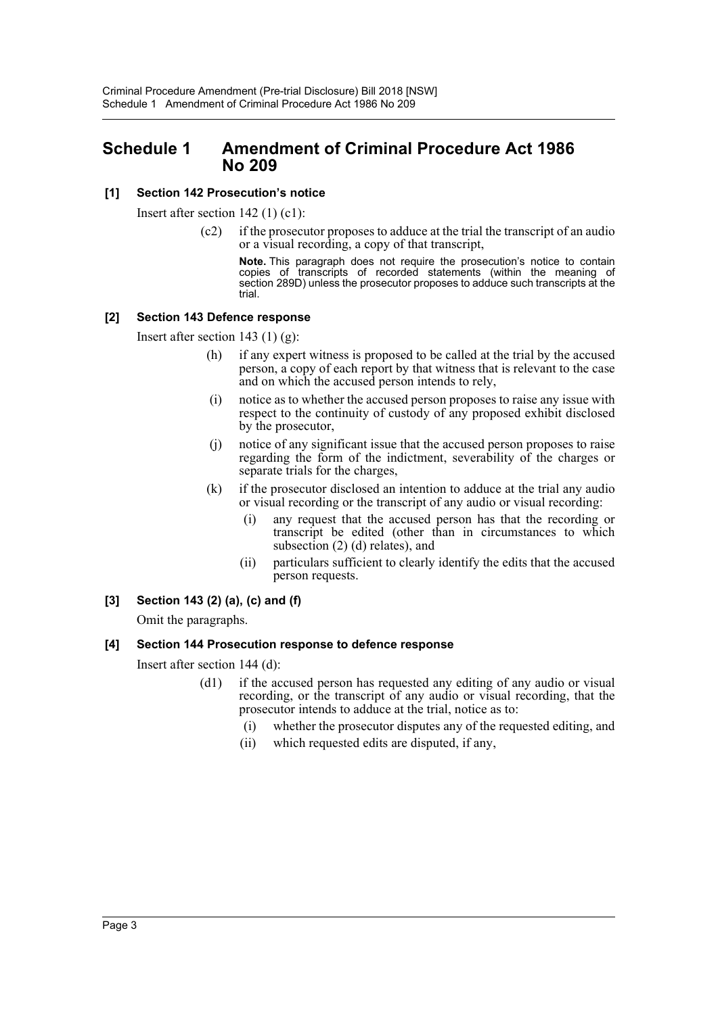### <span id="page-3-0"></span>**Schedule 1 Amendment of Criminal Procedure Act 1986 No 209**

#### **[1] Section 142 Prosecution's notice**

Insert after section 142 (1) (c1):

(c2) if the prosecutor proposes to adduce at the trial the transcript of an audio or a visual recording, a copy of that transcript,

**Note.** This paragraph does not require the prosecution's notice to contain copies of transcripts of recorded statements (within the meaning of section 289D) unless the prosecutor proposes to adduce such transcripts at the trial.

#### **[2] Section 143 Defence response**

Insert after section 143 (1)  $(g)$ :

- (h) if any expert witness is proposed to be called at the trial by the accused person, a copy of each report by that witness that is relevant to the case and on which the accused person intends to rely,
- (i) notice as to whether the accused person proposes to raise any issue with respect to the continuity of custody of any proposed exhibit disclosed by the prosecutor,
- (j) notice of any significant issue that the accused person proposes to raise regarding the form of the indictment, severability of the charges or separate trials for the charges,
- (k) if the prosecutor disclosed an intention to adduce at the trial any audio or visual recording or the transcript of any audio or visual recording:
	- (i) any request that the accused person has that the recording or transcript be edited (other than in circumstances to which subsection (2) (d) relates), and
	- (ii) particulars sufficient to clearly identify the edits that the accused person requests.

#### **[3] Section 143 (2) (a), (c) and (f)**

Omit the paragraphs.

#### **[4] Section 144 Prosecution response to defence response**

Insert after section 144 (d):

- (d1) if the accused person has requested any editing of any audio or visual recording, or the transcript of any audio or visual recording, that the prosecutor intends to adduce at the trial, notice as to:
	- (i) whether the prosecutor disputes any of the requested editing, and
	- (ii) which requested edits are disputed, if any,